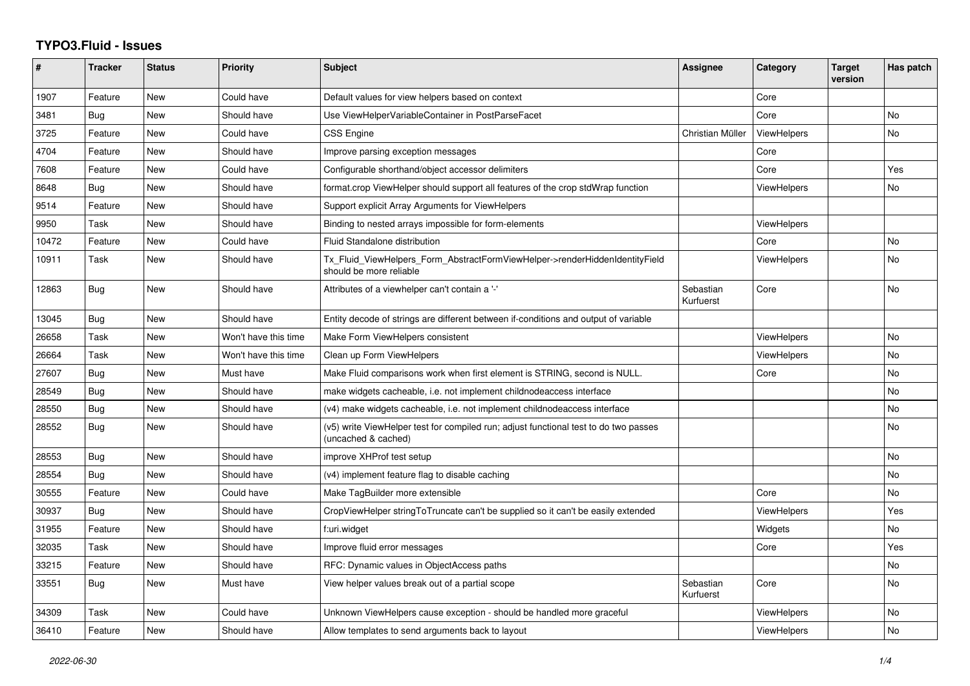## **TYPO3.Fluid - Issues**

| #     | <b>Tracker</b> | <b>Status</b> | <b>Priority</b>      | <b>Subject</b>                                                                                              | Assignee               | Category           | <b>Target</b><br>version | Has patch      |
|-------|----------------|---------------|----------------------|-------------------------------------------------------------------------------------------------------------|------------------------|--------------------|--------------------------|----------------|
| 1907  | Feature        | New           | Could have           | Default values for view helpers based on context                                                            |                        | Core               |                          |                |
| 3481  | Bug            | New           | Should have          | Use ViewHelperVariableContainer in PostParseFacet                                                           |                        | Core               |                          | N <sub>o</sub> |
| 3725  | Feature        | New           | Could have           | <b>CSS Engine</b>                                                                                           | Christian Müller       | <b>ViewHelpers</b> |                          | No             |
| 4704  | Feature        | New           | Should have          | Improve parsing exception messages                                                                          |                        | Core               |                          |                |
| 7608  | Feature        | New           | Could have           | Configurable shorthand/object accessor delimiters                                                           |                        | Core               |                          | Yes            |
| 8648  | Bug            | New           | Should have          | format.crop ViewHelper should support all features of the crop stdWrap function                             |                        | <b>ViewHelpers</b> |                          | No             |
| 9514  | Feature        | <b>New</b>    | Should have          | Support explicit Array Arguments for ViewHelpers                                                            |                        |                    |                          |                |
| 9950  | Task           | New           | Should have          | Binding to nested arrays impossible for form-elements                                                       |                        | <b>ViewHelpers</b> |                          |                |
| 10472 | Feature        | New           | Could have           | Fluid Standalone distribution                                                                               |                        | Core               |                          | <b>No</b>      |
| 10911 | Task           | New           | Should have          | Tx Fluid ViewHelpers Form AbstractFormViewHelper->renderHiddenIdentityField<br>should be more reliable      |                        | <b>ViewHelpers</b> |                          | No             |
| 12863 | <b>Bug</b>     | New           | Should have          | Attributes of a viewhelper can't contain a '-'                                                              | Sebastian<br>Kurfuerst | Core               |                          | <b>No</b>      |
| 13045 | <b>Bug</b>     | New           | Should have          | Entity decode of strings are different between if-conditions and output of variable                         |                        |                    |                          |                |
| 26658 | Task           | New           | Won't have this time | Make Form ViewHelpers consistent                                                                            |                        | <b>ViewHelpers</b> |                          | No             |
| 26664 | Task           | New           | Won't have this time | Clean up Form ViewHelpers                                                                                   |                        | <b>ViewHelpers</b> |                          | <b>No</b>      |
| 27607 | Bug            | New           | Must have            | Make Fluid comparisons work when first element is STRING, second is NULL.                                   |                        | Core               |                          | No             |
| 28549 | Bug            | New           | Should have          | make widgets cacheable, i.e. not implement childnodeaccess interface                                        |                        |                    |                          | No             |
| 28550 | Bug            | New           | Should have          | (v4) make widgets cacheable, i.e. not implement childnodeaccess interface                                   |                        |                    |                          | No             |
| 28552 | Bug            | New           | Should have          | (v5) write ViewHelper test for compiled run; adjust functional test to do two passes<br>(uncached & cached) |                        |                    |                          | <b>No</b>      |
| 28553 | Bug            | New           | Should have          | improve XHProf test setup                                                                                   |                        |                    |                          | <b>No</b>      |
| 28554 | Bug            | <b>New</b>    | Should have          | (v4) implement feature flag to disable caching                                                              |                        |                    |                          | <b>No</b>      |
| 30555 | Feature        | New           | Could have           | Make TagBuilder more extensible                                                                             |                        | Core               |                          | <b>No</b>      |
| 30937 | <b>Bug</b>     | New           | Should have          | CropViewHelper stringToTruncate can't be supplied so it can't be easily extended                            |                        | ViewHelpers        |                          | Yes            |
| 31955 | Feature        | <b>New</b>    | Should have          | f:uri.widget                                                                                                |                        | Widgets            |                          | <b>No</b>      |
| 32035 | Task           | New           | Should have          | Improve fluid error messages                                                                                |                        | Core               |                          | Yes            |
| 33215 | Feature        | New           | Should have          | RFC: Dynamic values in ObjectAccess paths                                                                   |                        |                    |                          | No             |
| 33551 | Bug            | New           | Must have            | View helper values break out of a partial scope                                                             | Sebastian<br>Kurfuerst | Core               |                          | No             |
| 34309 | Task           | New           | Could have           | Unknown ViewHelpers cause exception - should be handled more graceful                                       |                        | <b>ViewHelpers</b> |                          | No             |
| 36410 | Feature        | New           | Should have          | Allow templates to send arguments back to layout                                                            |                        | <b>ViewHelpers</b> |                          | No             |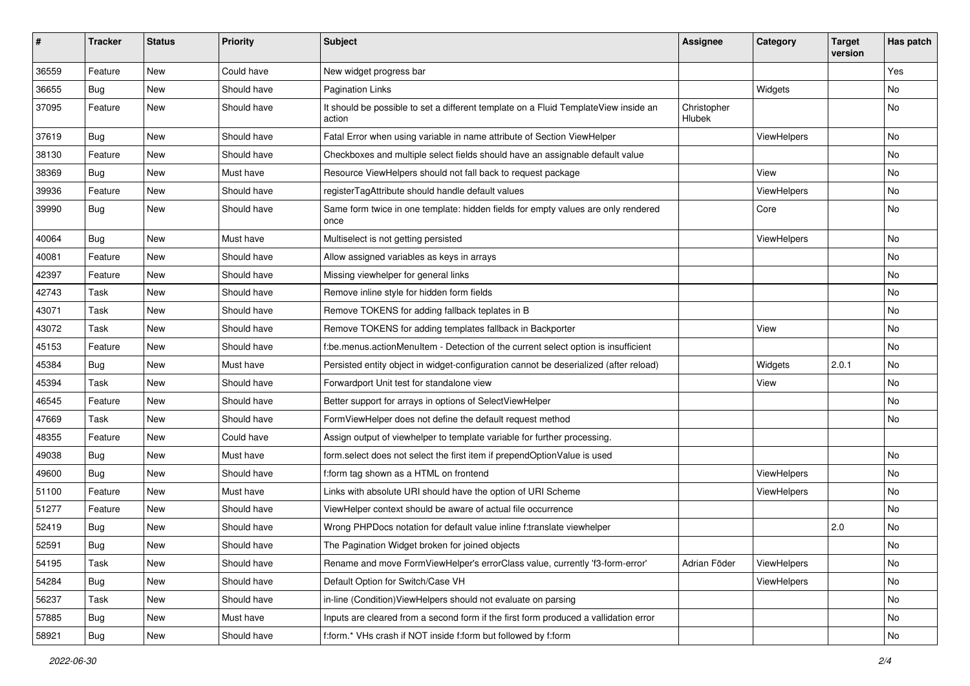| #     | <b>Tracker</b> | <b>Status</b> | <b>Priority</b> | Subject                                                                                       | <b>Assignee</b>       | Category    | <b>Target</b><br>version | Has patch |
|-------|----------------|---------------|-----------------|-----------------------------------------------------------------------------------------------|-----------------------|-------------|--------------------------|-----------|
| 36559 | Feature        | <b>New</b>    | Could have      | New widget progress bar                                                                       |                       |             |                          | Yes       |
| 36655 | Bug            | New           | Should have     | <b>Pagination Links</b>                                                                       |                       | Widgets     |                          | No        |
| 37095 | Feature        | New           | Should have     | It should be possible to set a different template on a Fluid TemplateView inside an<br>action | Christopher<br>Hlubek |             |                          | No        |
| 37619 | Bug            | New           | Should have     | Fatal Error when using variable in name attribute of Section ViewHelper                       |                       | ViewHelpers |                          | <b>No</b> |
| 38130 | Feature        | New           | Should have     | Checkboxes and multiple select fields should have an assignable default value                 |                       |             |                          | No        |
| 38369 | Bug            | New           | Must have       | Resource ViewHelpers should not fall back to request package                                  |                       | View        |                          | No        |
| 39936 | Feature        | New           | Should have     | registerTagAttribute should handle default values                                             |                       | ViewHelpers |                          | No        |
| 39990 | Bug            | New           | Should have     | Same form twice in one template: hidden fields for empty values are only rendered<br>once     |                       | Core        |                          | No        |
| 40064 | Bug            | New           | Must have       | Multiselect is not getting persisted                                                          |                       | ViewHelpers |                          | No        |
| 40081 | Feature        | <b>New</b>    | Should have     | Allow assigned variables as keys in arrays                                                    |                       |             |                          | No        |
| 42397 | Feature        | New           | Should have     | Missing viewhelper for general links                                                          |                       |             |                          | No        |
| 42743 | Task           | <b>New</b>    | Should have     | Remove inline style for hidden form fields                                                    |                       |             |                          | <b>No</b> |
| 43071 | Task           | New           | Should have     | Remove TOKENS for adding fallback teplates in B                                               |                       |             |                          | No        |
| 43072 | Task           | New           | Should have     | Remove TOKENS for adding templates fallback in Backporter                                     |                       | View        |                          | No        |
| 45153 | Feature        | <b>New</b>    | Should have     | f:be.menus.actionMenuItem - Detection of the current select option is insufficient            |                       |             |                          | No        |
| 45384 | Bug            | New           | Must have       | Persisted entity object in widget-configuration cannot be deserialized (after reload)         |                       | Widgets     | 2.0.1                    | No        |
| 45394 | Task           | <b>New</b>    | Should have     | Forwardport Unit test for standalone view                                                     |                       | View        |                          | No        |
| 46545 | Feature        | New           | Should have     | Better support for arrays in options of SelectViewHelper                                      |                       |             |                          | No        |
| 47669 | Task           | New           | Should have     | FormViewHelper does not define the default request method                                     |                       |             |                          | No        |
| 48355 | Feature        | New           | Could have      | Assign output of viewhelper to template variable for further processing.                      |                       |             |                          |           |
| 49038 | Bug            | New           | Must have       | form.select does not select the first item if prependOptionValue is used                      |                       |             |                          | <b>No</b> |
| 49600 | Bug            | New           | Should have     | f:form tag shown as a HTML on frontend                                                        |                       | ViewHelpers |                          | No        |
| 51100 | Feature        | New           | Must have       | Links with absolute URI should have the option of URI Scheme                                  |                       | ViewHelpers |                          | No        |
| 51277 | Feature        | New           | Should have     | ViewHelper context should be aware of actual file occurrence                                  |                       |             |                          | No        |
| 52419 | Bug            | New           | Should have     | Wrong PHPDocs notation for default value inline f:translate viewhelper                        |                       |             | 2.0                      | No        |
| 52591 | Bug            | New           | Should have     | The Pagination Widget broken for joined objects                                               |                       |             |                          | No        |
| 54195 | Task           | New           | Should have     | Rename and move FormViewHelper's errorClass value, currently 'f3-form-error'                  | Adrian Föder          | ViewHelpers |                          | No        |
| 54284 | Bug            | New           | Should have     | Default Option for Switch/Case VH                                                             |                       | ViewHelpers |                          | No        |
| 56237 | Task           | New           | Should have     | in-line (Condition) View Helpers should not evaluate on parsing                               |                       |             |                          | No        |
| 57885 | Bug            | New           | Must have       | Inputs are cleared from a second form if the first form produced a vallidation error          |                       |             |                          | No        |
| 58921 | Bug            | New           | Should have     | f:form.* VHs crash if NOT inside f:form but followed by f:form                                |                       |             |                          | No        |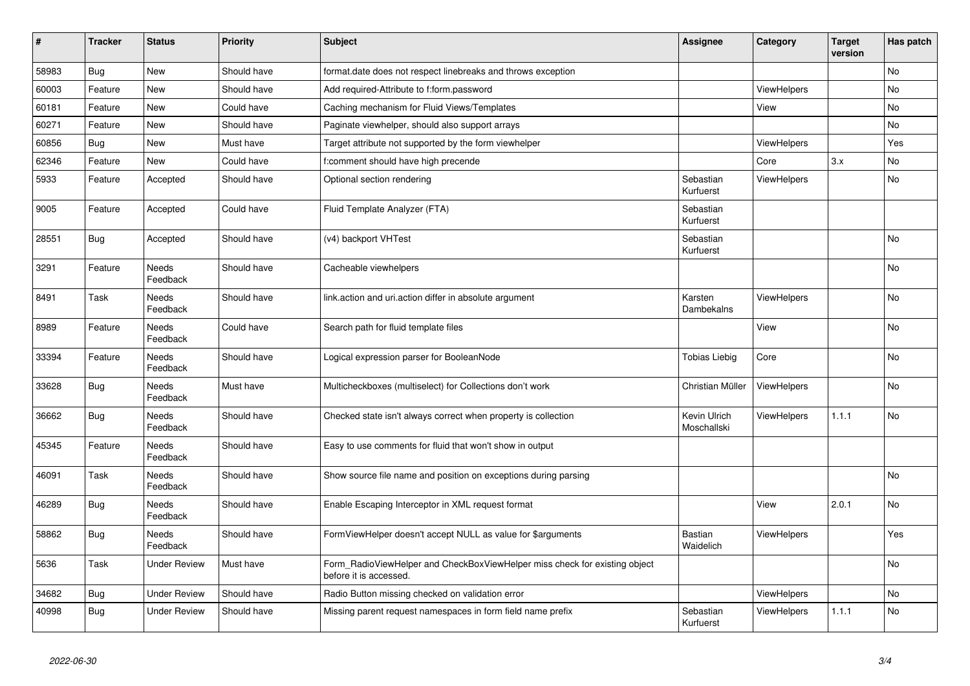| #     | <b>Tracker</b> | <b>Status</b>            | <b>Priority</b> | <b>Subject</b>                                                                                       | <b>Assignee</b>             | Category           | <b>Target</b><br>version | Has patch |
|-------|----------------|--------------------------|-----------------|------------------------------------------------------------------------------------------------------|-----------------------------|--------------------|--------------------------|-----------|
| 58983 | <b>Bug</b>     | New                      | Should have     | format.date does not respect linebreaks and throws exception                                         |                             |                    |                          | <b>No</b> |
| 60003 | Feature        | New                      | Should have     | Add required-Attribute to f:form.password                                                            |                             | <b>ViewHelpers</b> |                          | <b>No</b> |
| 60181 | Feature        | New                      | Could have      | Caching mechanism for Fluid Views/Templates                                                          |                             | View               |                          | <b>No</b> |
| 60271 | Feature        | New                      | Should have     | Paginate viewhelper, should also support arrays                                                      |                             |                    |                          | No        |
| 60856 | Bug            | New                      | Must have       | Target attribute not supported by the form viewhelper                                                |                             | <b>ViewHelpers</b> |                          | Yes       |
| 62346 | Feature        | New                      | Could have      | f:comment should have high precende                                                                  |                             | Core               | 3.x                      | <b>No</b> |
| 5933  | Feature        | Accepted                 | Should have     | Optional section rendering                                                                           | Sebastian<br>Kurfuerst      | ViewHelpers        |                          | No        |
| 9005  | Feature        | Accepted                 | Could have      | Fluid Template Analyzer (FTA)                                                                        | Sebastian<br>Kurfuerst      |                    |                          |           |
| 28551 | <b>Bug</b>     | Accepted                 | Should have     | (v4) backport VHTest                                                                                 | Sebastian<br>Kurfuerst      |                    |                          | No        |
| 3291  | Feature        | Needs<br>Feedback        | Should have     | Cacheable viewhelpers                                                                                |                             |                    |                          | No        |
| 8491  | Task           | Needs<br>Feedback        | Should have     | link.action and uri.action differ in absolute argument                                               | Karsten<br>Dambekalns       | ViewHelpers        |                          | <b>No</b> |
| 8989  | Feature        | <b>Needs</b><br>Feedback | Could have      | Search path for fluid template files                                                                 |                             | View               |                          | <b>No</b> |
| 33394 | Feature        | <b>Needs</b><br>Feedback | Should have     | Logical expression parser for BooleanNode                                                            | <b>Tobias Liebig</b>        | Core               |                          | <b>No</b> |
| 33628 | <b>Bug</b>     | Needs<br>Feedback        | Must have       | Multicheckboxes (multiselect) for Collections don't work                                             | Christian Müller            | <b>ViewHelpers</b> |                          | No        |
| 36662 | Bug            | Needs<br>Feedback        | Should have     | Checked state isn't always correct when property is collection                                       | Kevin Ulrich<br>Moschallski | <b>ViewHelpers</b> | 1.1.1                    | <b>No</b> |
| 45345 | Feature        | Needs<br>Feedback        | Should have     | Easy to use comments for fluid that won't show in output                                             |                             |                    |                          |           |
| 46091 | Task           | <b>Needs</b><br>Feedback | Should have     | Show source file name and position on exceptions during parsing                                      |                             |                    |                          | <b>No</b> |
| 46289 | Bug            | Needs<br>Feedback        | Should have     | Enable Escaping Interceptor in XML request format                                                    |                             | View               | 2.0.1                    | <b>No</b> |
| 58862 | Bug            | Needs<br>Feedback        | Should have     | FormViewHelper doesn't accept NULL as value for \$arguments                                          | Bastian<br>Waidelich        | <b>ViewHelpers</b> |                          | Yes       |
| 5636  | Task           | <b>Under Review</b>      | Must have       | Form RadioViewHelper and CheckBoxViewHelper miss check for existing object<br>before it is accessed. |                             |                    |                          | <b>No</b> |
| 34682 | Bug            | Under Review             | Should have     | Radio Button missing checked on validation error                                                     |                             | <b>ViewHelpers</b> |                          | <b>No</b> |
| 40998 | <b>Bug</b>     | <b>Under Review</b>      | Should have     | Missing parent request namespaces in form field name prefix                                          | Sebastian<br>Kurfuerst      | <b>ViewHelpers</b> | 1.1.1                    | <b>No</b> |